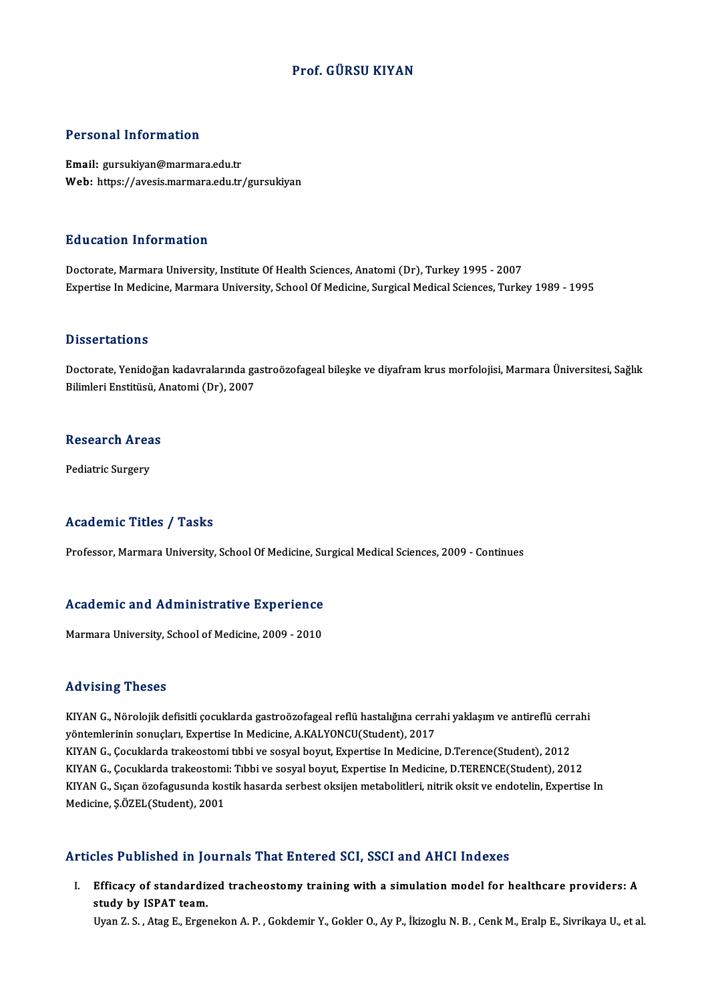#### Prof. GÜRSU KIYAN

#### Personal Information

Email: gursukiyan@marmara.edu.tr Web: https://avesis.marmara.edu.tr/gursukiyan

#### Education Information

Doctorate, Marmara University, Institute Of Health Sciences, Anatomi (Dr), Turkey 1995 - 2007 Expertise In Medicine, Marmara University, School Of Medicine, Surgical Medical Sciences, Turkey 1989 - 1995

#### **Dissertations**

Dissertations<br>Doctorate, Yenidoğan kadavralarında gastroözofageal bileşke ve diyafram krus morfolojisi, Marmara Üniversitesi, Sağlık<br>Bilimleri Enstitüsü, Anatemi (Dr), 2007 Bilboot tatrome<br>Doctorate, Yenidoğan kadavralarında ga<br>Bilimleri Enstitüsü, Anatomi (Dr), 2007

## Buimieri Ensutusu, A<br>Research Areas R<mark>esearch Area</mark><br>Pediatric Surgery

## Pediatric Surgery<br>Academic Titles / Tasks

Professor, Marmara University, School Of Medicine, Surgical Medical Sciences, 2009 - Continues

## Proiessor, marmara oniversity, school of medicine, suppression, marmara oniversity, school of medicine, suppression.<br>Academic and Administrative Experience A<mark>cademic and Administrative Experience</mark><br>Marmara University, School of Medicine, 2009 - 2010

Marmara University, School of Medicine, 2009 - 2010<br>Advising Theses

Advising Theses<br>KIYAN G., Nörolojik defisitli çocuklarda gastroözofageal reflü hastalığına cerrahi yaklaşım ve antireflü cerrahi<br>vörtemlerinin senyelery Expertise In Medicine, A.KAI YONCU(Student), 2017 yyüv yöntemlerinin sonuçları,<br>KIYAN G., Nörolojik defisitli çocuklarda gastroözofageal reflü hastalığına cerra<br>yöntemlerinin sonuçları, Expertise In Medicine, A.KALYONCU(Student), 2017<br>KIYAN G. Gosuklarda traksastami tıbbi KIYAN G., Nörolojik defisitli çocuklarda gastroözofageal reflü hastalığına cerrahi yaklaşım ve antireflü cerr<br>yöntemlerinin sonuçları, Expertise In Medicine, A.KALYONCU(Student), 2017<br>KIYAN G., Çocuklarda trakeostomi: Tıbb yöntemlerinin sonuçları, Expertise In Medicine, A.KALYONCU(Student), 2017<br>KIYAN G., Çocuklarda trakeostomi tıbbi ve sosyal boyut, Expertise In Medicine, D.Terence(Student), 2012<br>KIYAN G., Çocuklarda trakeostomi: Tıbbi ve s KIYAN G., Çocuklarda trakeostomi tibbi ve sosyal boyut, Expertise In Medicine, D.Terence(Student), 2012<br>KIYAN G., Çocuklarda trakeostomi: Tibbi ve sosyal boyut, Expertise In Medicine, D.TERENCE(Student), 2012<br>KIYAN G., Sıç KIYAN G., Çocuklarda trakeostomi<br>KIYAN G., Sıçan özofagusunda kos<br>Medicine, Ş.ÖZEL(Student), 2001

# Medicine, Ş.ÖZEL(Student), 2001<br>Articles Published in Journals That Entered SCI, SSCI and AHCI Indexes

I. Efficacy of standardized tracheostomy training with a simulationmodel for healthcare providers: A steed a missioned in year.<br>Efficacy of standardiz<br>Ilima 7. S., Atas E. Freei study by ISPAT team.<br>Uyan Z. S. , Atag E., Ergenekon A. P. , Gokdemir Y., Gokler O., Ay P., İkizoglu N. B. , Cenk M., Eralp E., Sivrikaya U., et al.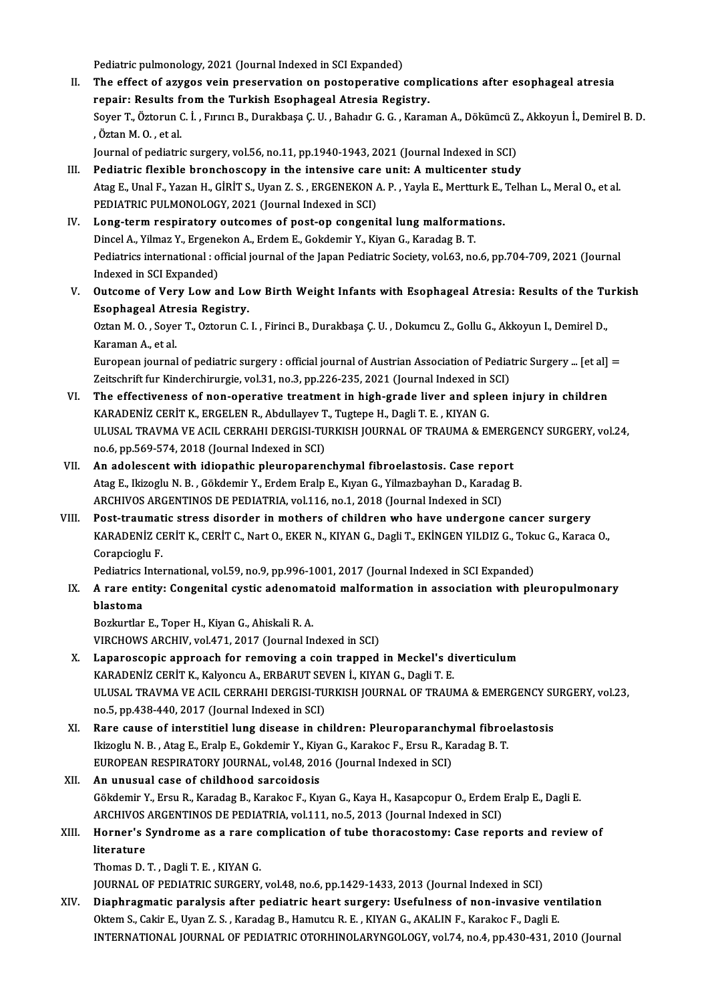Pediatric pulmonology, 2021 (Journal Indexed in SCI Expanded)<br>The effect of aryges voin presenvation on postenerative

- II. The effect of azygos vein preservation on postoperative complications after esophageal atresia<br>repair: Results from the Turkish Esophageal Atresia Registry. Pediatric pulmonology, 2021 (Journal Indexed in SCI Expanded)<br>The effect of azygos vein preservation on postoperative comp<br>repair: Results from the Turkish Esophageal Atresia Registry.<br>Sever T. Österun C. İ. Erung B. Durek The effect of azygos vein preservation on postoperative complications after esophageal atresia<br>repair: Results from the Turkish Esophageal Atresia Registry.<br>Soyer T., Öztorun C. İ. , Fırıncı B., Durakbaşa Ç. U. , Bahadır G r<mark>epair: Results f</mark><br>Soyer T., Öztorun (<br>, Öztan M. O. , et al.<br>Journal of podiatri Soyer T., Öztorun C. İ. , Fırıncı B., Durakbaşa Ç. U. , Bahadır G. G. , Karaman A., Dökümcü Z<br>, Öztan M. O. , et al.<br>Journal of pediatric surgery, vol.56, no.11, pp.1940-1943, 2021 (Journal Indexed in SCI)<br>Pediatric floxib It. Durnal of pediatric surgery, vol.56, no.11, pp.1940-1943, 2021 (Journal Indexed in SCI)<br>III. Pediatric flexible bronchoscopy in the intensive care unit: A multicenter study
- Atag E., Unal F., Yazan H., GİRİT S., Uyan Z. S., ERGENEKON A. P., Yayla E., Mertturk E., Telhan L., Meral O., et al. PEDIATRIC PULMONOLOGY, 2021 (Journal Indexed in SCI) Atag E., Unal F., Yazan H., GIRIT S., Uyan Z. S., ERGENEKON A. P., Yayla E., Mertturk E., '<br>PEDIATRIC PULMONOLOGY, 2021 (Journal Indexed in SCI)<br>IV. Long-term respiratory outcomes of post-op congenital lung malformations.<br>
- PEDIATRIC PULMONOLOGY, 2021 (Journal Indexed in SCI)<br>Long-term respiratory outcomes of post-op congenital lung malformat<br>Dincel A., Yilmaz Y., Ergenekon A., Erdem E., Gokdemir Y., Kiyan G., Karadag B. T.<br>Pediatrics interna Pediatrics international : official journal of the Japan Pediatric Society, vol.63, no.6, pp.704-709, 2021 (Journal Indexed in SCI Expanded) Dincel A., Yilmaz Y., Ergenekon A., Erdem E., Gokdemir Y., Kiyan G., Karadag B. T. Pediatrics international : official journal of the Japan Pediatric Society, vol.63, no.6, pp.704-709, 2021 (Journal<br>Indexed in SCI Expanded)<br>V. Outcome of Very Low and Low Birth Weight Infants with Esophageal Atresia: Resu
- Indexed in SCI Expanded)<br>Outcome of Very Low and Lo<br>Esophageal Atresia Registry.<br>Orton M.O., Sover T. Ortonup C. Outcome of Very Low and Low Birth Weight Infants with Esophageal Atresia: Results of the Tu<br>Esophageal Atresia Registry.<br>Oztan M. O. , Soyer T., Oztorun C. I. , Firinci B., Durakbaşa Ç. U. , Dokumcu Z., Gollu G., Akkoyun I

Esophageal Atresia Registry.<br>Oztan M. O. , Soyer T., Oztorun C. I. , Firinci B., Durakbaşa Ç. U. , Dokumcu Z., Gollu G., Akkoyun I., Demirel D.,<br>Karaman A., et al. Oztan M. O. , Soyer T., Oztorun C. I. , Firinci B., Durakbaşa Ç. U. , Dokumcu Z., Gollu G., Akkoyun I., Demirel D.,<br>Karaman A., et al.<br>European journal of pediatric surgery : official journal of Austrian Association of Ped

Karaman A., et al.<br>European journal of pediatric surgery : official journal of Austrian Association of Pediat<br>Zeitschrift fur Kinderchirurgie, vol.31, no.3, pp.226-235, 2021 (Journal Indexed in SCI)<br>The effectiveness of no European journal of pediatric surgery : official journal of Austrian Association of Pediatric Surgery ... [et al]<br>Zeitschrift fur Kinderchirurgie, vol.31, no.3, pp.226-235, 2021 (Journal Indexed in SCI)<br>VI. The effectivene

- Zeitschrift fur Kinderchirurgie, vol.31, no.3, pp.226-235, 2021 (Journal Indexed in SCI)<br>The effectiveness of non-operative treatment in high-grade liver and spleen injury in children<br>KARADENİZ CERİT K., ERGELEN R., Abdull VI. The effectiveness of non-operative treatment in high-grade liver and spleen injury in children<br>KARADENIZ CERIT K., ERGELEN R., Abdullayev T., Tugtepe H., Dagli T. E., KIYAN G.<br>ULUSAL TRAVMA VE ACIL CERRAHI DERGISI-TURK KARADENİZ CERİT K., ERGELEN R., Abdullayev T., Tugtepe H., Dagli T. E., KIYAN G.
- VII. An adolescent with idiopathic pleuroparenchymal fibroelastosis. Case report AtagE., IkizogluN.B. ,Gökdemir Y.,ErdemEralpE.,KıyanG.,YilmazbayhanD.,KaradagB. ARCHIVOS ARGENTINOS DE PEDIATRIA, vol.116, no.1, 2018 (Journal Indexed in SCI)
- VIII. Post-traumatic stress disorder in mothers of children who have undergone cancer surgery ARCHIVOS ARGENTINOS DE PEDIATRIA, vol.116, no.1, 2018 (Journal Indexed in SCI)<br>Post-traumatic stress disorder in mothers of children who have undergone cancer surgery<br>KARADENİZ CERİT K., CERİT C., Nart O., EKER N., KIYAN G Corapcioglu F. KARADENİZ CERİT K., CERİT C., Nart O., EKER N., KIYAN G., Dagli T., EKİNGEN YILDIZ G., Tok<br>Corapcioglu F.<br>Pediatrics International, vol.59, no.9, pp.996-1001, 2017 (Journal Indexed in SCI Expanded)<br>A rano entity: Congenita

Corapcioglu F.<br>Pediatrics International, vol.59, no.9, pp.996-1001, 2017 (Journal Indexed in SCI Expanded)<br>IX. A rare entity: Congenital cystic adenomatoid malformation in association with pleuropulmonary<br>hlasteme Pediatrics International, vol.59, no.9, pp.996-1001, 2017 (Journal Indexed in SCI Expanded)<br>A rare entity: Congenital cystic adenomatoid malformation in association with plo<br>blastoma<br>Bozkurtlar E., Toper H., Kiyan G., Ahis A rare entity: Congenital cystic adenoma<br>blastoma<br>Bozkurtlar E., Toper H., Kiyan G., Ahiskali R. A.<br>VIRCHOWS ARCHIV 110 471-2017 (Journal In

VIRCHOWS ARCHIV, vol.471, 2017 (Journal Indexed in SCI)

- Bozkurtlar E., Toper H., Kiyan G., Ahiskali R. A.<br>VIRCHOWS ARCHIV, vol.471, 2017 (Journal Indexed in SCI)<br>X. Laparoscopic approach for removing a coin trapped in Meckel's diverticulum<br>KARADENIZ CERIT K. Kalvongy A. ERRABUT VIRCHOWS ARCHIV, vol.471, 2017 (Journal Indexed in SCI)<br>Laparoscopic approach for removing a coin trapped in Meckel's di<br>KARADENİZ CERİT K., Kalyoncu A., ERBARUT SEVEN İ., KIYAN G., Dagli T. E.<br>ULUSAL TRAVMA VE ACU, CERRAH Laparoscopic approach for removing a coin trapped in Meckel's diverticulum<br>KARADENİZ CERİT K., Kalyoncu A., ERBARUT SEVEN İ., KIYAN G., Dagli T. E.<br>ULUSAL TRAVMA VE ACIL CERRAHI DERGISI-TURKISH JOURNAL OF TRAUMA & EMERGENC KARADENİZ CERİT K., Kalyoncu A., ERBARUT SE<br>ULUSAL TRAVMA VE ACIL CERRAHI DERGISI-TU<br>no.5, pp.438-440, 2017 (Journal Indexed in SCI)<br>Pare sause of interstitiel lung disease in sh ULUSAL TRAVMA VE ACIL CERRAHI DERGISI-TURKISH JOURNAL OF TRAUMA & EMERGENCY SU<br>no.5, pp.438-440, 2017 (Journal Indexed in SCI)<br>XI. Rare cause of interstitiel lung disease in children: Pleuroparanchymal fibroelastosis<br>Ikizo
- no.5, pp.438-440, 2017 (Journal Indexed in SCI)<br>XI. Rare cause of interstitiel lung disease in children: Pleuroparanchymal fibroelastosis<br>Ikizoglu N. B., Atag E., Eralp E., Gokdemir Y., Kiyan G., Karakoc F., Ersu R., K Rare cause of interstitiel lung disease in children: Pleuroparanchy<br>Ikizoglu N. B., Atag E., Eralp E., Gokdemir Y., Kiyan G., Karakoc F., Ersu R., Ka<br>EUROPEAN RESPIRATORY JOURNAL, vol.48, 2016 (Journal Indexed in SCI)<br>An u Ikizoglu N. B., Atag E., Eralp E., Gokdemir Y., Kiy<br>EUROPEAN RESPIRATORY JOURNAL, vol.48, 201<br>XII. An unusual case of childhood sarcoidosis
- EUROPEAN RESPIRATORY JOURNAL, vol.48, 2016 (Journal Indexed in SCI)<br><mark>An unusual case of childhood sarcoidosis</mark><br>Gökdemir Y., Ersu R., Karadag B., Karakoc F., Kıyan G., Kaya H., Kasapcopur O., Erdem Eralp E., Dagli E.<br>ARCHIV An unusual case of childhood sarcoidosis<br>Gökdemir Y., Ersu R., Karadag B., Karakoc F., Kıyan G., Kaya H., Kasapcopur O., Erdem<br>ARCHIVOS ARGENTINOS DE PEDIATRIA, vol.111, no.5, 2013 (Journal Indexed in SCI)<br>Hornor's Syndrom Gökdemir Y., Ersu R., Karadag B., Karakoc F., Kıyan G., Kaya H., Kasapcopur O., Erdem Eralp E., Dagli E.<br>ARCHIVOS ARGENTINOS DE PEDIATRIA, vol.111, no.5, 2013 (Journal Indexed in SCI)<br>XIII. Horner's Syndrome as a rare comp

### ARCHIVOS ARGENTINOS DE PEDIATRIA, vol.111, no.5, 2013 (Journal Indexed in SCI)<br>Horner's Syndrome as a rare complication of tube thoracostomy: Case rep<br>literature<br>Thomas D. T., Dagli T. E., KIYAN G. Horner's Syndrome as a rare c<br>literature<br>Thomas D.T., Dagli T.E., KIYAN G.<br>JOUPNAL OF PEDIATRIC SURCERV

JOURNAL OF PEDIATRIC SURGERY, vol.48, no.6, pp.1429-1433, 2013 (Journal Indexed in SCI)

XIV. Diaphragmatic paralysis after pediatric heart surgery: Usefulness of non-invasive ventilation Oktem S., Cakir E., Uyan Z. S., Karadag B., Hamutcu R. E., KIYAN G., AKALIN F., Karakoc F., Dagli E. INTERNATIONAL JOURNAL OF PEDIATRIC OTORHINOLARYNGOLOGY, vol.74, no.4, pp.430-431, 2010 (Journal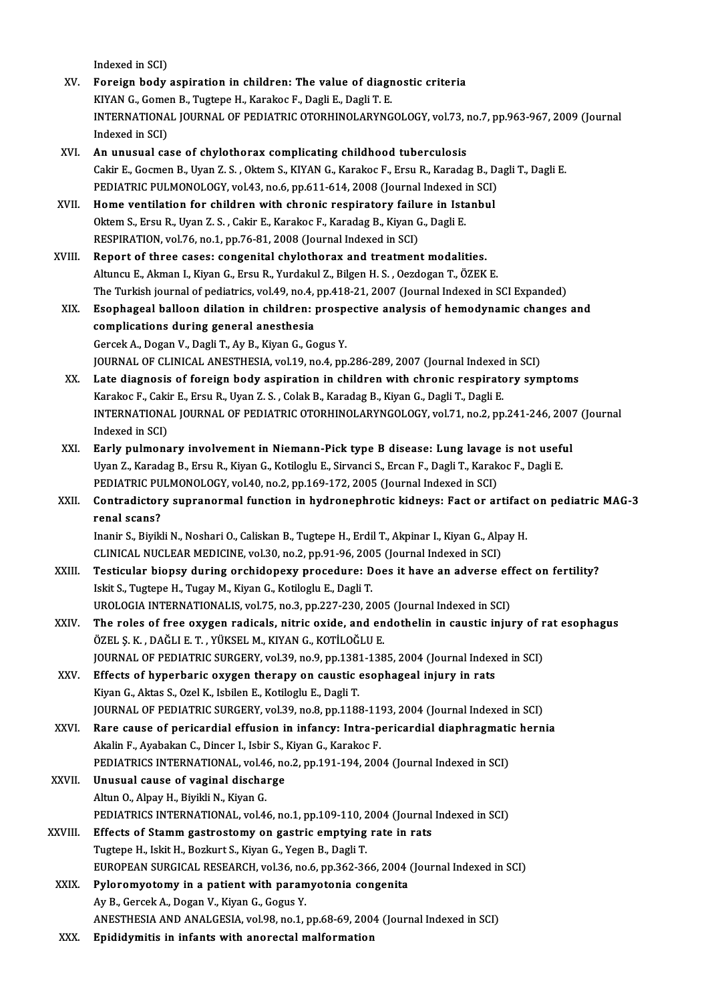Indexed in SCI)

- Indexed in SCI)<br>XV. Foreign body aspiration in children: The value of diagnostic criteria<br>KIVAN G. Gomen B. Tugtene H. Kanakag E. Dagli E. Dagli T. E. Indexed in SCI)<br>Foreign body aspiration in children: The value of diagr<br>KIYAN G., Gomen B., Tugtepe H., Karakoc F., Dagli E., Dagli T. E.<br>INTERNATIONAL JOURNAL OF REDIATRIC OTORHINOLARYNC Foreign body aspiration in children: The value of diagnostic criteria<br>KIYAN G., Gomen B., Tugtepe H., Karakoc F., Dagli E., Dagli T. E.<br>INTERNATIONAL JOURNAL OF PEDIATRIC OTORHINOLARYNGOLOGY, vol.73, no.7, pp.963-967, 2009 KIYAN G., Gome<br>INTERNATIONA<br>Indexed in SCI)<br>An unusual ca XVI. An unusual case of chylothorax complicating childhood tuberculosis
- Indexed in SCI)<br>An unusual case of chylothorax complicating childhood tuberculosis<br>Cakir E., Gocmen B., Uyan Z. S. , Oktem S., KIYAN G., Karakoc F., Ersu R., Karadag B., Dagli T., Dagli E.<br>REDIATRIC RHI MONOLOCY, vol.43, n An unusual case of chylothorax complicating childhood tuberculosis<br>Cakir E., Gocmen B., Uyan Z. S. , Oktem S., KIYAN G., Karakoc F., Ersu R., Karadag B., D.<br>PEDIATRIC PULMONOLOGY, vol.43, no.6, pp.611-614, 2008 (Journal In PEDIATRIC PULMONOLOGY, vol.43, no.6, pp.611-614, 2008 (Journal Indexed in SCI)<br>XVII. Home ventilation for children with chronic respiratory failure in Istanbul
- PEDIATRIC PULMONOLOGY, vol.43, no.6, pp.611-614, 2008 (Journal Indexed i<br>Home ventilation for children with chronic respiratory failure in Ista<br>Oktem S., Ersu R., Uyan Z. S. , Cakir E., Karakoc F., Karadag B., Kiyan G., Da Home ventilation for children with chronic respiratory failu<br>Oktem S., Ersu R., Uyan Z. S. , Cakir E., Karakoc F., Karadag B., Kiyan G<br>RESPIRATION, vol.76, no.1, pp.76-81, 2008 (Journal Indexed in SCI)<br>Penert of three sess Oktem S., Ersu R., Uyan Z. S., Cakir E., Karakoc F., Karadag B., Kiyan G., Dagli E.<br>RESPIRATION, vol.76, no.1, pp.76-81, 2008 (Journal Indexed in SCI)<br>XVIII. Report of three cases: congenital chylothorax and treatment moda
- RESPIRATION, vol.76, no.1, pp.76-81, 2008 (Journal Indexed in SCI)<br>Report of three cases: congenital chylothorax and treatment modalities.<br>Altuncu E., Akman I., Kiyan G., Ersu R., Yurdakul Z., Bilgen H. S. , Oezdogan T., Ö Report of three cases: congenital chylothorax and treatment modalities.<br>Altuncu E., Akman I., Kiyan G., Ersu R., Yurdakul Z., Bilgen H. S. , Oezdogan T., ÖZEK E.<br>The Turkish journal of pediatrics, vol.49, no.4, pp.418-21, Altuncu E., Akman I., Kiyan G., Ersu R., Yurdakul Z., Bilgen H. S. , Oezdogan T., ÖZEK E.<br>The Turkish journal of pediatrics, vol.49, no.4, pp.418-21, 2007 (Journal Indexed in SCI Expanded)<br>XIX. Esophageal balloon dilat
- The Turkish journal of pediatrics, vol.49, no.4,<br>Esophageal balloon dilation in children: <br>complications during general anesthesia<br>Carsel: A. Dagan V. Dagli T. Ay B. Kiyan C. Ca Esophageal balloon dilation in children: prospective analysis of hemodynamic changes and<br>complications during general anesthesia<br>Gercek A., Dogan V., Dagli T., Ay B., Kiyan G., Gogus Y. JOURNALOF CLINICALANESTHESIA,vol.19,no.4,pp.286-289,2007 (Journal Indexed inSCI) Gercek A., Dogan V., Dagli T., Ay B., Kiyan G., Gogus Y.<br>JOURNAL OF CLINICAL ANESTHESIA, vol.19, no.4, pp.286-289, 2007 (Journal Indexed in SCI)<br>XX. Late diagnosis of foreign body aspiration in children with chronic respir
- JOURNAL OF CLINICAL ANESTHESIA, vol.19, no.4, pp.286-289, 2007 (Journal Indexed<br>Late diagnosis of foreign body aspiration in children with chronic respirate<br>Karakoc F., Cakir E., Ersu R., Uyan Z. S. , Colak B., Karadag B., INTERNATIONAL JOURNAL OF PEDIATRIC OTORHINOLARYNGOLOGY, vol.71, no.2, pp.241-246, 2007 (Journal Indexed in SCI) Karakoc F., Cakir E., Ersu R., Uyan Z. S., Colak B., Karadag B., Kiyan G., Dagli T., Dagli E. INTERNATIONAL JOURNAL OF PEDIATRIC OTORHINOLARYNGOLOGY, vol.71, no.2, pp.241-246, 200?<br>Indexed in SCI)<br>XXI. Early pulmonary involvement in Niemann-Pick type B disease: Lung lavage is not useful<br>Ilian 7, Karadag B, Freu B,
- Indexed in SCI)<br><mark>Early pulmonary involvement in Niemann-Pick type B disease: Lung lavage is not usef</mark><br>Uyan Z., Karadag B., Ersu R., Kiyan G., Kotiloglu E., Sirvanci S., Ercan F., Dagli T., Karakoc F., Dagli E.<br>REDIATRIC RH Early pulmonary involvement in Niemann-Pick type B disease: Lung lavage<br>Uyan Z., Karadag B., Ersu R., Kiyan G., Kotiloglu E., Sirvanci S., Ercan F., Dagli T., Karak<br>PEDIATRIC PULMONOLOGY, vol.40, no.2, pp.169-172, 2005 (Jo Uyan Z., Karadag B., Ersu R., Kiyan G., Kotiloglu E., Sirvanci S., Ercan F., Dagli T., Karakoc F., Dagli E.<br>PEDIATRIC PULMONOLOGY, vol.40, no.2, pp.169-172, 2005 (Journal Indexed in SCI)<br>XXII. Contradictory supranormal fun
- PEDIATRIC PULMONOLOGY, vol.40, no.2, pp.169-172, 2005 (Journal Indexed in SCI)<br>Contradictory supranormal function in hydronephrotic kidneys: Fact or artifact<br>renal scans?<br>Inanir S., Biyikli N., Noshari O., Caliskan B., Tug Contradictory supranormal function in hydronephrotic kidneys: Fact or artifact<br>renal scans?<br>Inanir S., Biyikli N., Noshari O., Caliskan B., Tugtepe H., Erdil T., Akpinar I., Kiyan G., Alpay H.<br>CLINICAL NUCLEAR MEDICINE vol

renal scans?<br>Inanir S., Biyikli N., Noshari O., Caliskan B., Tugtepe H., Erdil T., Akpinar I., Kiyan G., Alp<br>CLINICAL NUCLEAR MEDICINE, vol.30, no.2, pp.91-96, 2005 (Journal Indexed in SCI)<br>Testisular bioney during enshide

- XXIII. Testicular biopsy during orchidopexy procedure: Does it have an adverse effect on fertility?<br>Iskit S., Tugtepe H., Tugay M., Kiyan G., Kotiloglu E., Dagli T. CLINICAL NUCLEAR MEDICINE, vol.30, no.2, pp.91-96, 200<br>Testicular biopsy during orchidopexy procedure: D<br>Iskit S., Tugtepe H., Tugay M., Kiyan G., Kotiloglu E., Dagli T.<br>UPOLOGIA INTERNATIONALIS vol.75, no.3, nn.337, 330, Testicular biopsy during orchidopexy procedure: Does it have an adverse eff<br>Iskit S., Tugtepe H., Tugay M., Kiyan G., Kotiloglu E., Dagli T.<br>UROLOGIA INTERNATIONALIS, vol.75, no.3, pp.227-230, 2005 (Journal Indexed in SCI) Iskit S., Tugtepe H., Tugay M., Kiyan G., Kotiloglu E., Dagli T.<br>UROLOGIA INTERNATIONALIS, vol.75, no.3, pp.227-230, 2005 (Journal Indexed in SCI)<br>XXIV. The roles of free oxygen radicals, nitric oxide, and endothelin in ca
- UROLOGIA INTERNATIONALIS, vol.75, no.3, pp.227-230, 200!<br>The roles of free oxygen radicals, nitric oxide, and en<br>ÖZEL Ş. K. , DAĞLI E. T. , YÜKSEL M., KIYAN G., KOTİLOĞLU E.<br>JOUPNAL OE PEDIATRIC SURCERY vol.29, no.9, np.12 The roles of free oxygen radicals, nitric oxide, and endothelin in caustic injury of r<br>ÖZEL Ş. K. , DAĞLI E. T. , YÜKSEL M., KIYAN G., KOTİLOĞLU E.<br>JOURNAL OF PEDIATRIC SURGERY, vol.39, no.9, pp.1381-1385, 2004 (Journal In ÖZEL Ş. K. , DAĞLI E. T. , YÜKSEL M., KIYAN G., KOTİLOĞLU E.<br>JOURNAL OF PEDIATRIC SURGERY, vol.39, no.9, pp.1381-1385, 2004 (Journal Index<br>XXV. Effects of hyperbaric oxygen therapy on caustic esophageal injury in rats<br>Kiya
- JOURNAL OF PEDIATRIC SURGERY, vol.39, no.9, pp.138<br>Effects of hyperbaric oxygen therapy on caustic<br>Kiyan G., Aktas S., Ozel K., Isbilen E., Kotiloglu E., Dagli T.<br>JOUPNAL OF PEDIATRIC SURCERY vol.29, no.9, np.1189 Effects of hyperbaric oxygen therapy on caustic esophageal injury in rats<br>Kiyan G., Aktas S., Ozel K., Isbilen E., Kotiloglu E., Dagli T.<br>JOURNAL OF PEDIATRIC SURGERY, vol.39, no.8, pp.1188-1193, 2004 (Journal Indexed in S Kiyan G., Aktas S., Ozel K., Isbilen E., Kotiloglu E., Dagli T.<br>JOURNAL OF PEDIATRIC SURGERY, vol.39, no.8, pp.1188-1193, 2004 (Journal Indexed in SCI)<br>XXVI. Rare cause of pericardial effusion in infancy: Intra-pericardial
- JOURNAL OF PEDIATRIC SURGERY, vol.39, no.8, pp.1188-11<br>Rare cause of pericardial effusion in infancy: Intra-p<br>Akalin F., Ayabakan C., Dincer I., Isbir S., Kiyan G., Karakoc F.<br>PEDIATRICS INTERNATIONAL, vol.46, no.2, nn.191 Rare cause of pericardial effusion in infancy: Intra-pericardial diaphragmati<br>Akalin F., Ayabakan C., Dincer I., Isbir S., Kiyan G., Karakoc F.<br>PEDIATRICS INTERNATIONAL, vol.46, no.2, pp.191-194, 2004 (Journal Indexed in S Akalin F., Ayabakan C., Dincer I., Isbir S., 1<br>PEDIATRICS INTERNATIONAL, vol.46, no<br>XXVII. Unusual cause of vaginal discharge
- PEDIATRICS INTERNATIONAL, vol.4<br>Unusual cause of vaginal discha:<br>Altun O., Alpay H., Biyikli N., Kiyan G.<br>PEDIATRICS INTERNATIONAL, vol.4. Unusual cause of vaginal discharge<br>Altun O., Alpay H., Biyikli N., Kiyan G.<br>PEDIATRICS INTERNATIONAL, vol.46, no.1, pp.109-110, 2004 (Journal Indexed in SCI)<br>Effects of Stamm gestrestemy on gestris emptying rate in rate Altun O., Alpay H., Biyikli N., Kiyan G.<br>PEDIATRICS INTERNATIONAL, vol.46, no.1, pp.109-110, 2004 (Journal<br>XXVIII. Effects of Stamm gastrostomy on gastric emptying rate in rats<br>Tugtepe H., Iskit H., Bozkurt S., Kiyan G., Y PEDIATRICS INTERNATIONAL, vol.46, no.1, pp.109-110, 2<br>Effects of Stamm gastrostomy on gastric emptying<br>Tugtepe H., Iskit H., Bozkurt S., Kiyan G., Yegen B., Dagli T.<br>FUROPEAN SURCICAL RESEARCH vol.26, no.6, np.262, 26 Effects of Stamm gastrostomy on gastric emptying rate in rats<br>Tugtepe H., Iskit H., Bozkurt S., Kiyan G., Yegen B., Dagli T.<br>EUROPEAN SURGICAL RESEARCH, vol.36, no.6, pp.362-366, 2004 (Journal Indexed in SCI)<br>Pricromystomy
	-
	- Tugtepe H., Iskit H., Bozkurt S., Kiyan G., Yegen B., Dagli T.<br>EUROPEAN SURGICAL RESEARCH, vol.36, no.6, pp.362-366, 2004<br>XXIX. Pyloromyotomy in a patient with paramyotonia congenita<br>Ay B. Carselt A. Desso V. Kiyan C. Cary EUROPEAN SURGICAL RESEARCH, vol.36, no<br>Pyloromyotomy in a patient with param<br>Ay B., Gercek A., Dogan V., Kiyan G., Gogus Y.<br>ANESTHESIA AND ANALGESIA vol.09, no.1.1 Pyloromyotomy in a patient with paramyotonia congenita<br>Ay B., Gercek A., Dogan V., Kiyan G., Gogus Y.<br>ANESTHESIA AND ANALGESIA, vol.98, no.1, pp.68-69, 2004 (Journal Indexed in SCI)
	- XXX. Epididymitis in infants with anorectal malformation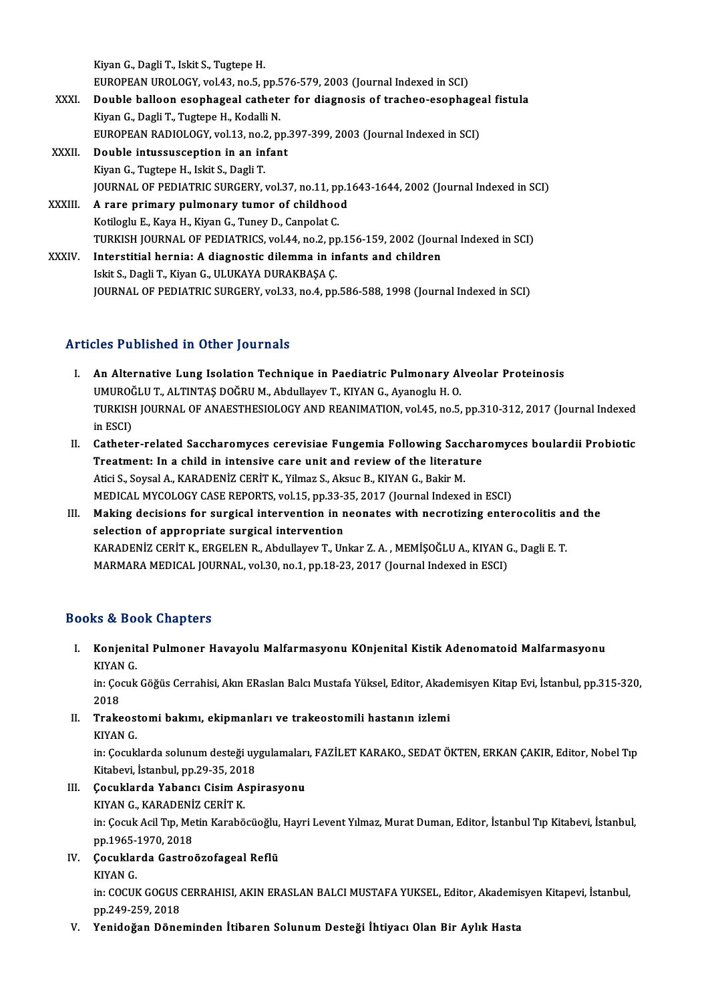KiyanG.,DagliT., IskitS.,TugtepeH. EUROPEAN UROLOGY, vol.43, no.5, pp.576-579, 2003 (Journal Indexed in SCI)

- XXXI. Double balloon esophageal catheter for diagnosis of tracheo-esophageal fistula Kiyan G., Dagli T., Tugtepe H., Kodalli N. Double balloon esophageal catheter for diagnosis of tracheo-esophage<br>Kiyan G., Dagli T., Tugtepe H., Kodalli N.<br>EUROPEAN RADIOLOGY, vol.13, no.2, pp.397-399, 2003 (Journal Indexed in SCI)<br>Double intussussention in an infan
- XXXII. Double intussusception in an infant<br>Kiyan G., Tugtepe H., Iskit S., Dagli T. EUROPEAN RADIOLOGY, vol.13, no.2<br>Double intussusception in an in<br>Kiyan G., Tugtepe H., Iskit S., Dagli T.<br>JOUPMAL OF PEDIATPLE SUPEERY Double intussusception in an infant<br>Kiyan G., Tugtepe H., Iskit S., Dagli T.<br>JOURNAL OF PEDIATRIC SURGERY, vol.37, no.11, pp.1643-1644, 2002 (Journal Indexed in SCI)<br>A rare primery pulmenary tumer of shildhood Kiyan G., Tugtepe H., Iskit S., Dagli T.<br>JOURNAL OF PEDIATRIC SURGERY, vol.37, no.11, pp.1<br>XXXIII. A rare primary pulmonary tumor of childhood<br>Kotilogiu E. Kayo H. Kiyan C. Tunay D. Cannolat C.
- A rare primary pulmonary tumor of childhood<br>Kotiloglu E., Kaya H., Kiyan G., Tuney D., Canpolat C. A rare primary pulmonary tumor of childhood<br>Kotiloglu E., Kaya H., Kiyan G., Tuney D., Canpolat C.<br>TURKISH JOURNAL OF PEDIATRICS, vol.44, no.2, pp.156-159, 2002 (Journal Indexed in SCI)<br>Interstitiel bernie: A diegnestie di Kotiloglu E., Kaya H., Kiyan G., Tuney D., Canpolat C.<br>TURKISH JOURNAL OF PEDIATRICS, vol.44, no.2, pp.156-159, 2002 (Jour)<br>XXXIV. Interstitial hernia: A diagnostic dilemma in infants and children<br>Islit S. Dogli T. Kiyan C Interstitial hernia: A diagnostic dilemma in infants and children Iskit S., Dagli T., Kiyan G., ULUKAYA DURAKBAŞA Ç.
	- JOURNAL OF PEDIATRIC SURGERY, vol.33, no.4, pp.586-588, 1998 (Journal Indexed in SCI)

### Articles Published in Other Journals

- I. An Alternative Lung Isolation Technique in Paediatric Pulmonary Alveolar Proteinosis SES I dononcu in Other Journals<br>An Alternative Lung Isolation Technique in Paediatric Pulmonary Al<br>UMUROĞLU T., ALTINTAŞ DOĞRU M., Abdullayev T., KIYAN G., Ayanoglu H. O.<br>TURKISH JOURNAL OF ANAESTHESIOLOCY AND REANIMATION TURKISH JOURNAL OF ANAESTHESIOLOGY AND REANIMATION, vol.45, no.5, pp.310-312, 2017 (Journal Indexed<br>in ESCI) UMUROČ<br>TURKISH<br>in ESCI)<br>Cathata TURKISH JOURNAL OF ANAESTHESIOLOGY AND REANIMATION, vol.45, no.5, pp.310-312, 2017 (Journal Indexed<br>in ESCI)<br>II. Catheter-related Saccharomyces cerevisiae Fungemia Following Saccharomyces boulardii Probiotic<br>Treatment: In
- in ESCI)<br>Catheter-related Saccharomyces cerevisiae Fungemia Following Sacchar<br>Treatment: In a child in intensive care unit and review of the literature<br>Atici S. Soveel A. KARADENİZ CERİT K. Vilmaz S. Akaye B. KIVAN C. Baki Catheter-related Saccharomyces cerevisiae Fungemia Following Saccharomyces cerevisiae Fungemia Following Sacchare<br>Atici S., Soysal A., KARADENİZ CERİT K., Yilmaz S., Aksuc B., KIYAN G., Bakir M.<br>MEDICAL MYCOLOCY CASE BEBOR Treatment: In a child in intensive care unit and review of the literature<br>Atici S., Soysal A., KARADENİZ CERİT K., Yilmaz S., Aksuc B., KIYAN G., Bakir M.<br>MEDICAL MYCOLOGY CASE REPORTS, vol.15, pp.33-35, 2017 (Journal Inde Atici S., Soysal A., KARADENİZ CERİT K., Yilmaz S., Aksuc B., KIYAN G., Bakir M.<br>MEDICAL MYCOLOGY CASE REPORTS, vol.15, pp.33-35, 2017 (Journal Indexed in ESCI)<br>III. Making decisions for surgical intervention in neonates w
- MEDICAL MYCOLOGY CASE REPORTS, vol.15, pp.33-3<br>Making decisions for surgical intervention in n<br>selection of appropriate surgical intervention<br>KARADENIZ CERIT K. ERCELEN R. Abdullarov T. Un Making decisions for surgical intervention in neonates with necrotizing enterocolitis an<br>selection of appropriate surgical intervention<br>KARADENİZ CERİT K., ERGELEN R., Abdullayev T., Unkar Z.A. , MEMİŞOĞLU A., KIYAN G., Da selection of appropriate surgical intervention<br>KARADENİZ CERİT K., ERGELEN R., Abdullayev T., Unkar Z. A. , MEMİŞOĞLU A., KIYAN G., Dagli E. T.<br>MARMARA MEDICAL JOURNAL, vol.30, no.1, pp.18-23, 2017 (Journal Indexed in ESCI

### Books&Book Chapters

ooks & Book Chapters<br>I. Konjenital Pulmoner Havayolu Malfarmasyonu K0njenital Kistik Adenomatoid Malfarmasyonu<br>KIVAN C Konjenit<br>Konjenit<br>KIYAN G. Konjenital Pulmoner Havayolu Malfarmasyonu K0njenital Kistik Adenomatoid Malfarmasyonu<br>KIYAN G.<br>in: Çocuk Göğüs Cerrahisi, Akın ERaslan Balcı Mustafa Yüksel, Editor, Akademisyen Kitap Evi, İstanbul, pp.315-320,<br>2019

KIYAN<br>in: Çoo<br>2018<br>Traks in: Çocuk Göğüs Cerrahisi, Akın ERaslan Balcı Mustafa Yüksel, Editor, Akadı<br>2018<br>II. Trakeostomi bakımı, ekipmanları ve trakeostomili hastanın izlemi<br>11. Trakeostomi bakımı, ekipmanları ve trakeostomili hastanın iz

2018<br>II. Trakeostomi bakımı, ekipmanları ve trakeostomili hastanın izlemi<br>KIYAN G.

Trakeostomi bakımı, ekipmanları ve trakeostomili hastanın izlemi<br>KIYAN G.<br>in: Çocuklarda solunum desteği uygulamaları, FAZİLET KARAKO., SEDAT ÖKTEN, ERKAN ÇAKIR, Editor, Nobel Tıp<br>Kitabayi, İstanbul, nn 20.25, 2019 KIYAN G.<br>in: Çocuklarda solunum desteği uy<br>Kitabevi, İstanbul, pp.29-35, 2018<br>Cosuklarda Yabansı Çisim Asp in: Çocuklarda solunum desteği uygulamaları<br>Kitabevi, İstanbul, pp.29-35, 2018<br>III. Cocuklarda Yabancı Cisim Aspirasyonu<br>KIVAN C. KABADENİZ GERİT K Kitabevi, İstanbul, pp.29-35, 201<br>Çocuklarda Yabancı Cisim A:<br>KIYAN G., KARADENİZ CERİT K.<br>in: Cesuk Asil Tın Metin Karabê

KIYAN G., KARADENİZ CERİT K.<br>in: Çocuk Acil Tıp, Metin Karaböcüoğlu, Hayri Levent Yılmaz, Murat Duman, Editor, İstanbul Tıp Kitabevi, İstanbul, KIYAN G., KARADENI:<br>in: Çocuk Acil Tıp, Me<br>pp.1965-1970, 2018<br>Cosuklarda Gastra pp.1965-1<br>**Çocuklaı**<br>KIYAN G.

### IV. Çocuklarda Gastroözofageal Reflü

Çocuklarda Gastroözofageal Reflü<br>KIYAN G.<br>in: COCUK GOGUS CERRAHISI, AKIN ERASLAN BALCI MUSTAFA YUKSEL, Editor, Akademisyen Kitapevi, İstanbul,<br>pp.240.250.2018 KIYAN G.<br>in: COCUK GOGUS (<br>pp.249-259, 2018<br>Yonidoğan Döne

V. Yenidoğan Döneminden İtibaren SolunumDesteği İhtiyacı Olan Bir Aylık Hasta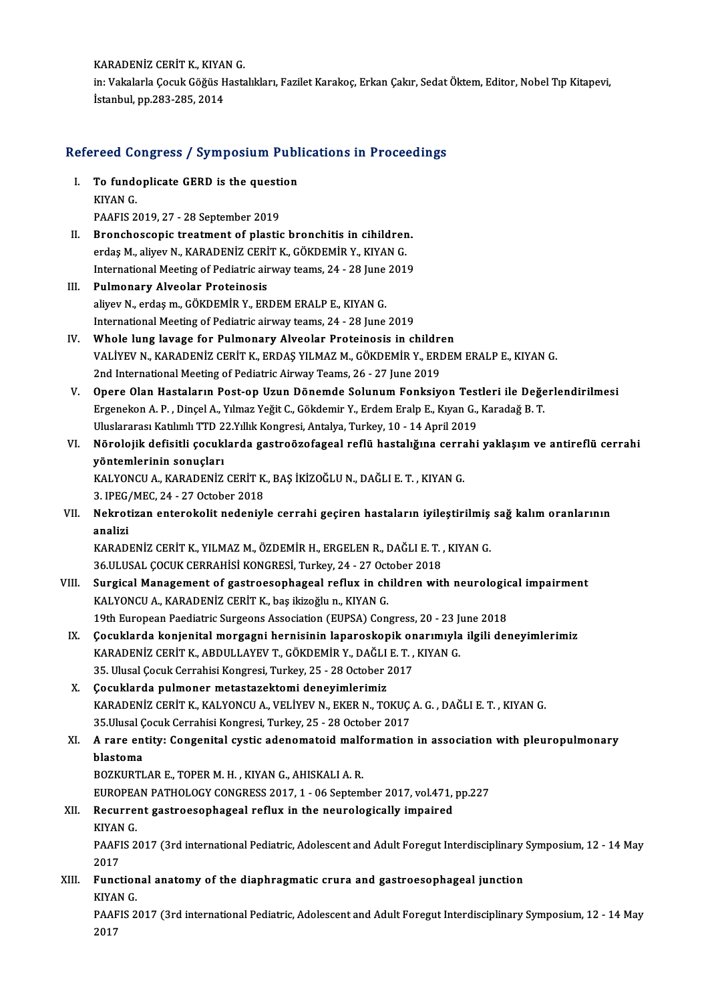KARADENİZ CERİT K., KIYAN G. KARADENİZ CERİT K., KIYAN G.<br>in: Vakalarla Çocuk Göğüs Hastalıkları, Fazilet Karakoç, Erkan Çakır, Sedat Öktem, Editor, Nobel Tıp Kitapevi,<br>İstanbul, np.283, 285, 2014 KARADENİZ CERİT K., KIYA<br>in: Vakalarla Çocuk Göğüs H<br>İstanbul, pp.283-285, 2014

# istanbul, pp.283-285, 2014<br>Refereed Congress / Symposium Publications in Proceedings

- efereed Congress / Symposium Publ<br>I. To fundoplicate GERD is the question TOOD OG<br>To funde<br>KIYAN G.<br>PAAEIS 2 To fundoplicate GERD is the questi<br>KIYAN G.<br>PAAFIS 2019, 27 - 28 September 2019<br>Prenchessenis treatment of plastic
- KIYAN G.<br>PAAFIS 2019, 27 28 September 2019<br>II. Bronchoscopic treatment of plastic bronchitis in cihildren.<br>Andre M. Shirov N. KARADENIZ CERIT K. GÖKDEMIR V. KIYAN G. PAAFIS 2019, 27 - 28 September 2019<br>Bronchoscopic treatment of plastic bronchitis in cihildren<br>erdaş M., aliyev N., KARADENİZ CERİT K., GÖKDEMİR Y., KIYAN G. Bronchoscopic treatment of plastic bronchitis in cihildren.<br>erdaş M., aliyev N., KARADENİZ CERİT K., GÖKDEMİR Y., KIYAN G.<br>International Meeting of Pediatric airway teams, 24 - 28 June 2019<br>Pulmenery, Alveolar Proteinesis International Meeting of Pediatric airway teams, 24 - 28 June 2019
- III. Pulmonary Alveolar Proteinosis<br>aliyev N., erdaş m., GÖKDEMİR Y., ERDEM ERALP E., KIYAN G. International Meeting of Pediatric airway teams, 24 - 28 June 2019 aliyev N., erdaş m., GÖKDEMİR Y., ERDEM ERALP E., KIYAN G.<br>International Meeting of Pediatric airway teams, 24 - 28 June 2019<br>IV. Whole lung lavage for Pulmonary Alveolar Proteinosis in children<br>VALIYEV N. KARADENİZ CERİT
- VALİYEV N., KARADENİZ CERİT K., ERDAŞ YILMAZ M., GÖKDEMİR Y., ERDEM ERALP E., KIYAN G.<br>2nd International Meeting of Pediatric Airway Teams, 26 27 June 2019 Whole lung lavage for Pulmonary Alveolar Proteinosis in childre<br>VALIYEV N., KARADENIZ CERIT K., ERDAŞ YILMAZ M., GÖKDEMIR Y., ERI<br>2nd International Meeting of Pediatric Airway Teams, 26 - 27 June 2019<br>Opere Olan Hastaların VALİYEV N., KARADENİZ CERİT K., ERDAŞ YILMAZ M., GÖKDEMİR Y., ERDEM ERALP E., KIYAN G.<br>2nd International Meeting of Pediatric Airway Teams, 26 - 27 June 2019<br>V. Opere Olan Hastaların Post-op Uzun Dönemde Solunum Fonksiyon
- 2nd International Meeting of Pediatric Airway Teams, 26 27 June 2019<br>Opere Olan Hastaların Post-op Uzun Dönemde Solunum Fonksiyon Testleri ile Değe<br>Ergenekon A. P. , Dinçel A., Yılmaz Yeğit C., Gökdemir Y., Erdem Eralp E Opere Olan Hastaların Post-op Uzun Dönemde Solunum Fonksiyon Test<br>Ergenekon A. P. , Dinçel A., Yılmaz Yeğit C., Gökdemir Y., Erdem Eralp E., Kıyan G.,<br>Uluslararası Katılımlı TTD 22.Yıllık Kongresi, Antalya, Turkey, 10 - 14 Ergenekon A. P. , Dinçel A., Yılmaz Yeğit C., Gökdemir Y., Erdem Eralp E., Kıyan G., Karadağ B. T.<br>Uluslararası Katılımlı TTD 22.Yıllık Kongresi, Antalya, Turkey, 10 - 14 April 2019<br>VI. Nörolojik defisitli çocuklarda g
- Uluslararası Katılımlı TTD 2<br>Nörolojik defisitli çocukl<br>yöntemlerinin sonuçları<br>KALYONCU A. KARADENİZ Nörolojik defisitli çocuklarda gastroözofageal reflü hastalığına cerra<br>yöntemlerinin sonuçları<br>KALYONCU A., KARADENİZ CERİT K., BAŞ İKİZOĞLU N., DAĞLI E. T. , KIYAN G.<br>2. IPEC (MEC 24.-27 Ostober 2019

yöntemlerinin sonuçları<br>KALYONCU A., KARADENİZ CERİT K., BAŞ İKİZOĞLU N., DAĞLI E. T. , KIYAN G.<br>3. IPEG/MEC, 24 - 27 October 2018

KALYONCU A., KARADENİZ CERİT K., BAŞ İKİZOĞLU N., DAĞLI E. T. , KIYAN G.<br>3. IPEG/MEC, 24 - 27 October 2018<br>VII. Nekrotizan enterokolit nedeniyle cerrahi geçiren hastaların iyileştirilmiş sağ kalım oranlarının<br>analiri 3. IPEG<sub>/</sub><br>Nekrot<br>analizi<br><sup>KARAD</sup> Nekrotizan enterokolit nedeniyle cerrahi geçiren hastaların iyileştirilmiş<br>analizi<br>KARADENİZ CERİT K., YILMAZ M., ÖZDEMİR H., ERGELEN R., DAĞLI E. T. , KIYAN G.<br>26 III USAL COCUY CERRAHİSİ KONCRESİ Turkey 24, 27 Ostaber 20

analizi<br>KARADENİZ CERİT K., YILMAZ M., ÖZDEMİR H., ERGELEN R., DAĞLI E. T. ,<br>36.ULUSAL ÇOCUK CERRAHİSİ KONGRESİ, Turkey, 24 - 27 October 2018<br>Sungisal Managamant of gastnoosanhagaal nefuw in ehildran wit KARADENİZ CERİT K., YILMAZ M., ÖZDEMİR H., ERGELEN R., DAĞLI E. T. , KIYAN G.<br>36.ULUSAL ÇOCUK CERRAHİSİ KONGRESİ, Turkey, 24 - 27 October 2018<br>VIII. Surgical Management of gastroesophageal reflux in children with neurologi

- 36.ULUSAL ÇOCUK CERRAHİSİ KONGRESİ, Turkey, 24 27 Oct<br>Surgical Management of gastroesophageal reflux in ch<br>KALYONCU A., KARADENİZ CERİT K., baş ikizoğlu n., KIYAN G.<br>19th European Paedistria Surgeans Association (EUBSA) Surgical Management of gastroesophageal reflux in children with neurologic<br>KALYONCU A., KARADENİZ CERİT K., baş ikizoğlu n., KIYAN G.<br>19th European Paediatric Surgeons Association (EUPSA) Congress, 20 - 23 June 2018<br>Cosukl KALYONCU A., KARADENİZ CERİT K., baş ikizoğlu n., KIYAN G.<br>19th European Paediatric Surgeons Association (EUPSA) Congress, 20 - 23 June 2018<br>IX. Çocuklarda konjenital morgagni hernisinin laparoskopik onarımıyla ilgili 19th European Paediatric Surgeons Association (EUPSA) Congress, 20 - 23 June 2018
- Çocuklarda konjenital morgagni hernisinin laparoskopik om<br>KARADENİZ CERİT K., ABDULLAYEV T., GÖKDEMİR Y., DAĞLI E. T. ,<br>35. Ulusal Çocuk Cerrahisi Kongresi, Turkey, 25 28 October 2017<br>Cosuklarda pulmanar matastaraktami d KARADENİZ CERİT K., ABDULLAYEV T., GÖKDEMİR Y., DAĞLI<br>35. Ulusal Çocuk Cerrahisi Kongresi, Turkey, 25 - 28 October 2<br>X. Cocuklarda pulmoner metastazektomi deneyimlerimiz<br>KARADENİZ CERİT K. KALYONCU A. VELİYEV N. EKER N. TO
- X. Çocuklarda pulmoner metastazektomi deneyimlerimiz<br>KARADENİZ CERİT K., KALYONCU A., VELİYEV N., EKER N., TOKUÇ A. G. , DAĞLI E. T. , KIYAN G. Cocuklarda pulmoner metastazektomi deneyimlerimiz<br>KARADENİZ CERİT K., KALYONCU A., VELİYEV N., EKER N., TOKUÇ<br>35.Ulusal Çocuk Cerrahisi Kongresi, Turkey, 25 - 28 October 2017<br>A.rare entity: Censenital systis adenematejd ma KARADENİZ CERİT K., KALYONCU A., VELİYEV N., EKER N., TOKUÇ A. G. , DAĞLI E. T. , KIYAN G.<br>35.Ulusal Çocuk Cerrahisi Kongresi, Turkey, 25 - 28 October 2017<br>XI. A rare entity: Congenital cystic adenomatoid malformation

### 35.Ulusal Ç<br>A rare en<br>blastoma<br>POZKUPTI A rare entity: Congenital cystic adenomatoid malf<br>blastoma<br>BOZKURTLAR E., TOPER M. H. , KIYAN G., AHISKALI A. R.<br>FUROPEAN PATHOLOCY CONCRESS 2017-1-06 Sontom

blastoma<br>BOZKURTLAR E., TOPER M. H. , KIYAN G., AHISKALI A. R.<br>EUROPEAN PATHOLOGY CONGRESS 2017, 1 - 06 September 2017, vol.471, pp.227

### BOZKURTLAR E., TOPER M. H. , KIYAN G., AHISKALI A. R.<br>EUROPEAN PATHOLOGY CONGRESS 2017, 1 - 06 September 2017, vol.471,<br>XII. Recurrent gastroesophageal reflux in the neurologically impaired<br>KIVAN C EUROPEA<br>Recurre:<br>KIYAN G.

Recurrent gastroesophageal reflux in the neurologically impaired<br>KIYAN G.<br>PAAFIS 2017 (3rd international Pediatric, Adolescent and Adult Foregut Interdisciplinary Symposium, 12 - 14 May<br>2017 KIYAN<br>PAAFI<br>2017<br>Eurst PAAFIS 2017 (3rd international Pediatric, Adolescent and Adult Foregut Interdisciplinary<br>2017<br>XIII. Functional anatomy of the diaphragmatic crura and gastroesophageal junction

2017<br>Function<br>KIYAN G.<br>PAAEIS 2 Functional anatomy of the diaphragmatic crura and gastroesophageal junction<br>KIYAN G.<br>PAAFIS 2017 (3rd international Pediatric, Adolescent and Adult Foregut Interdisciplinary Symposium, 12 - 14 May<br>2017

KIYA<br>PAAF<br>2017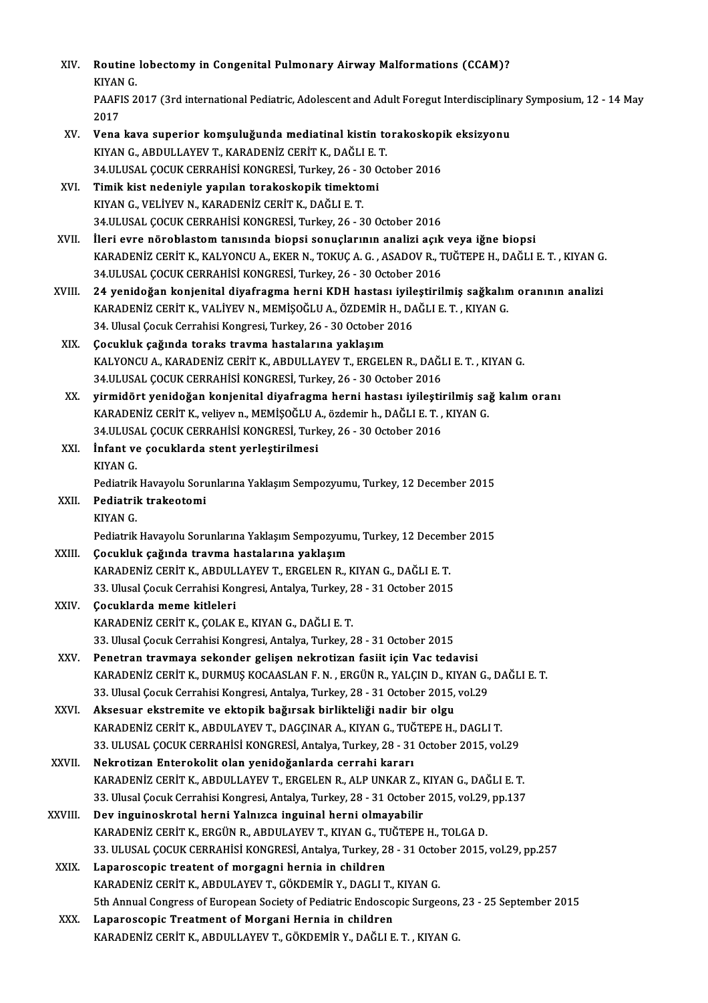| XIV.         | Routine lobectomy in Congenital Pulmonary Airway Malformations (CCAM)?<br>KIYAN G                                                                                   |
|--------------|---------------------------------------------------------------------------------------------------------------------------------------------------------------------|
|              | PAAFIS 2017 (3rd international Pediatric, Adolescent and Adult Foregut Interdisciplinary Symposium, 12 - 14 May<br>2017                                             |
| XV.          | Vena kava superior komşuluğunda mediatinal kistin torakoskopik eksizyonu                                                                                            |
|              | KIYAN G., ABDULLAYEV T., KARADENİZ CERİT K., DAĞLI E. T.                                                                                                            |
|              | 34.ULUSAL ÇOCUK CERRAHİSİ KONGRESİ, Turkey, 26 - 30 October 2016                                                                                                    |
| XVI.         | Timik kist nedeniyle yapılan torakoskopik timektomi                                                                                                                 |
|              | KIYAN G., VELİYEV N., KARADENİZ CERİT K., DAĞLI E. T.                                                                                                               |
|              | 34.ULUSAL ÇOCUK CERRAHİSİ KONGRESİ, Turkey, 26 - 30 October 2016                                                                                                    |
| XVII.        | İleri evre nöroblastom tanısında biopsi sonuçlarının analizi açık veya iğne biopsi                                                                                  |
|              | KARADENİZ CERİT K., KALYONCU A., EKER N., TOKUÇ A. G. , ASADOV R., TUĞTEPE H., DAĞLI E. T. , KIYAN G.                                                               |
|              | 34.ULUSAL ÇOCUK CERRAHİSİ KONGRESİ, Turkey, 26 - 30 October 2016                                                                                                    |
| XVIII.       | 24 yenidoğan konjenital diyafragma herni KDH hastası iyileştirilmiş sağkalım oranının analizi                                                                       |
|              | KARADENİZ CERİT K., VALİYEV N., MEMİŞOĞLU A., ÖZDEMİR H., DAĞLI E. T., KIYAN G.                                                                                     |
|              | 34. Ulusal Çocuk Cerrahisi Kongresi, Turkey, 26 - 30 October 2016                                                                                                   |
| XIX.         | Çocukluk çağında toraks travma hastalarına yaklaşım<br>KALYONCU A., KARADENİZ CERİT K., ABDULLAYEV T., ERGELEN R., DAĞLI E. T., KIYAN G.                            |
|              | 34.ULUSAL ÇOCUK CERRAHİSİ KONGRESİ, Turkey, 26 - 30 October 2016                                                                                                    |
| XX.          | yirmidört yenidoğan konjenital diyafragma herni hastası iyileştirilmiş sağ kalım oranı                                                                              |
|              | KARADENİZ CERİT K., veliyev n., MEMİŞOĞLU A., özdemir h., DAĞLI E. T., KIYAN G.                                                                                     |
|              | 34.ULUSAL ÇOCUK CERRAHİSİ KONGRESİ, Turkey, 26 - 30 October 2016                                                                                                    |
| XXI.         | İnfant ve çocuklarda stent yerleştirilmesi                                                                                                                          |
|              | KIYAN G.                                                                                                                                                            |
|              | Pediatrik Havayolu Sorunlarına Yaklaşım Sempozyumu, Turkey, 12 December 2015                                                                                        |
| XXII.        | Pediatrik trakeotomi                                                                                                                                                |
|              | KIYAN G.                                                                                                                                                            |
|              | Pediatrik Havayolu Sorunlarına Yaklaşım Sempozyumu, Turkey, 12 December 2015                                                                                        |
| XXIII.       | Çocukluk çağında travma hastalarına yaklaşım                                                                                                                        |
|              | KARADENİZ CERİT K., ABDULLAYEV T., ERGELEN R., KIYAN G., DAĞLI E. T.                                                                                                |
|              | 33. Ulusal Çocuk Cerrahisi Kongresi, Antalya, Turkey, 28 - 31 October 2015                                                                                          |
| <b>XXIV</b>  | Çocuklarda meme kitleleri                                                                                                                                           |
|              | KARADENİZ CERİT K., ÇOLAK E., KIYAN G., DAĞLI E. T.                                                                                                                 |
|              | 33. Ulusal Çocuk Cerrahisi Kongresi, Antalya, Turkey, 28 - 31 October 2015                                                                                          |
| XXV.         | Penetran travmaya sekonder gelişen nekrotizan fasiit için Vac tedavisi                                                                                              |
|              | KARADENİZ CERİT K., DURMUŞ KOCAASLAN F. N., ERGÜN R., YALÇIN D., KIYAN G., DAĞLI E. T.                                                                              |
|              | 33. Ulusal Çocuk Cerrahisi Kongresi, Antalya, Turkey, 28 - 31 October 2015, vol.29                                                                                  |
| XXVI.        | Aksesuar ekstremite ve ektopik bağırsak birlikteliği nadir bir olgu                                                                                                 |
|              | KARADENİZ CERİT K., ABDULAYEV T., DAGÇINAR A., KIYAN G., TUĞTEPE H., DAGLI T.<br>33. ULUSAL ÇOCUK CERRAHİSİ KONGRESİ, Antalya, Turkey, 28 - 31 October 2015, vol 29 |
| <b>XXVII</b> | Nekrotizan Enterokolit olan yenidoğanlarda cerrahi kararı                                                                                                           |
|              | KARADENİZ CERİT K., ABDULLAYEV T., ERGELEN R., ALP UNKAR Z., KIYAN G., DAĞLI E. T.                                                                                  |
|              | 33. Ulusal Çocuk Cerrahisi Kongresi, Antalya, Turkey, 28 - 31 October 2015, vol.29, pp.137                                                                          |
| XXVIII.      | Dev inguinoskrotal herni Yalnızca inguinal herni olmayabilir                                                                                                        |
|              | KARADENİZ CERİT K., ERGÜN R., ABDULAYEV T., KIYAN G., TUĞTEPE H., TOLGA D.                                                                                          |
|              | 33. ULUSAL ÇOCUK CERRAHİSİ KONGRESİ, Antalya, Turkey, 28 - 31 October 2015, vol.29, pp.257                                                                          |
| XXIX.        | Laparoscopic treatent of morgagni hernia in children                                                                                                                |
|              | KARADENİZ CERİT K., ABDULAYEV T., GÖKDEMİR Y., DAGLI T., KIYAN G.                                                                                                   |
|              | 5th Annual Congress of European Society of Pediatric Endoscopic Surgeons, 23 - 25 September 2015                                                                    |
| XXX.         | Laparoscopic Treatment of Morgani Hernia in children                                                                                                                |
|              | KARADENİZ CERİT K., ABDULLAYEV T., GÖKDEMİR Y., DAĞLI E. T. , KIYAN G.                                                                                              |
|              |                                                                                                                                                                     |